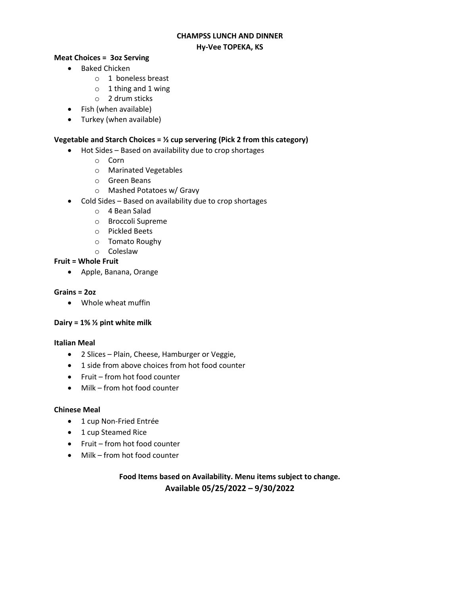#### **CHAMPSS LUNCH AND DINNER Hy-Vee TOPEKA, KS**

#### **Meat Choices = 3oz Serving**

- Baked Chicken
	- o 1 boneless breast
	- $\circ$  1 thing and 1 wing
	- o 2 drum sticks
- Fish (when available)
- Turkey (when available)

#### **Vegetable and Starch Choices = ½ cup servering (Pick 2 from this category)**

- Hot Sides Based on availability due to crop shortages
	- o Corn
	- o Marinated Vegetables
	- o Green Beans
	- o Mashed Potatoes w/ Gravy
- Cold Sides Based on availability due to crop shortages
	- o 4 Bean Salad
	- o Broccoli Supreme
	- o Pickled Beets
	- o Tomato Roughy
	- o Coleslaw

#### **Fruit = Whole Fruit**

Apple, Banana, Orange

#### **Grains = 2oz**

Whole wheat muffin

#### **Dairy = 1% ½ pint white milk**

#### **Italian Meal**

- 2 Slices Plain, Cheese, Hamburger or Veggie,
- 1 side from above choices from hot food counter
- Fruit from hot food counter
- Milk from hot food counter

#### **Chinese Meal**

- 1 cup Non-Fried Entrée
- 1 cup Steamed Rice
- Fruit from hot food counter
- Milk from hot food counter

## **Food Items based on Availability. Menu items subject to change. Available 05/25/2022 – 9/30/2022**